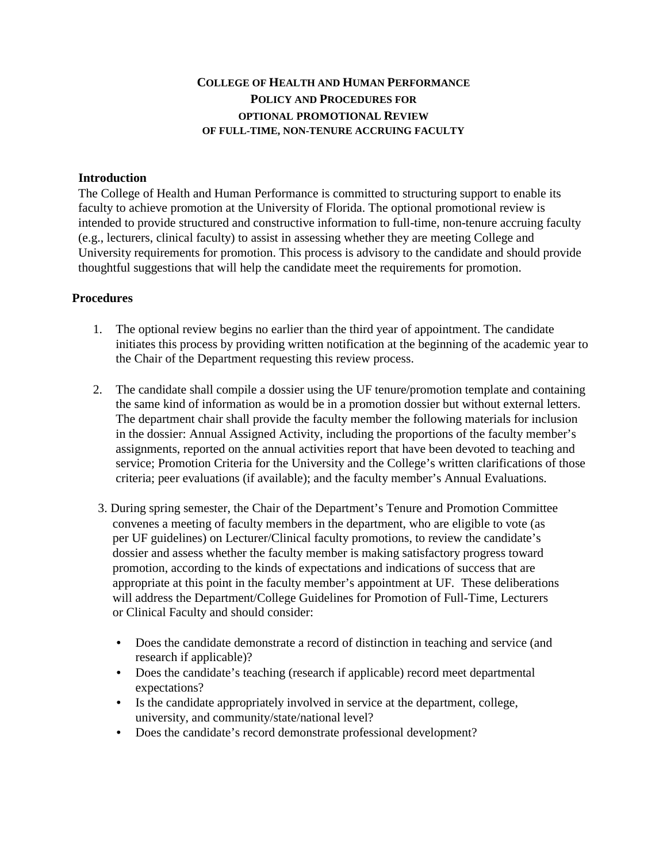## **COLLEGE OF HEALTH AND HUMAN PERFORMANCE POLICY AND PROCEDURES FOR OPTIONAL PROMOTIONAL REVIEW OF FULL-TIME, NON-TENURE ACCRUING FACULTY**

## **Introduction**

The College of Health and Human Performance is committed to structuring support to enable its faculty to achieve promotion at the University of Florida. The optional promotional review is intended to provide structured and constructive information to full-time, non-tenure accruing faculty (e.g., lecturers, clinical faculty) to assist in assessing whether they are meeting College and University requirements for promotion. This process is advisory to the candidate and should provide thoughtful suggestions that will help the candidate meet the requirements for promotion.

## **Procedures**

- 1. The optional review begins no earlier than the third year of appointment. The candidate initiates this process by providing written notification at the beginning of the academic year to the Chair of the Department requesting this review process.
- 2. The candidate shall compile a dossier using the UF tenure/promotion template and containing the same kind of information as would be in a promotion dossier but without external letters. The department chair shall provide the faculty member the following materials for inclusion in the dossier: Annual Assigned Activity, including the proportions of the faculty member's assignments, reported on the annual activities report that have been devoted to teaching and service; Promotion Criteria for the University and the College's written clarifications of those criteria; peer evaluations (if available); and the faculty member's Annual Evaluations.
- 3. During spring semester, the Chair of the Department's Tenure and Promotion Committee convenes a meeting of faculty members in the department, who are eligible to vote (as per UF guidelines) on Lecturer/Clinical faculty promotions, to review the candidate's dossier and assess whether the faculty member is making satisfactory progress toward promotion, according to the kinds of expectations and indications of success that are appropriate at this point in the faculty member's appointment at UF. These deliberations will address the Department/College Guidelines for Promotion of Full-Time, Lecturers or Clinical Faculty and should consider:
	- Does the candidate demonstrate a record of distinction in teaching and service (and research if applicable)?
	- Does the candidate's teaching (research if applicable) record meet departmental expectations?
	- Is the candidate appropriately involved in service at the department, college, university, and community/state/national level?
	- Does the candidate's record demonstrate professional development?